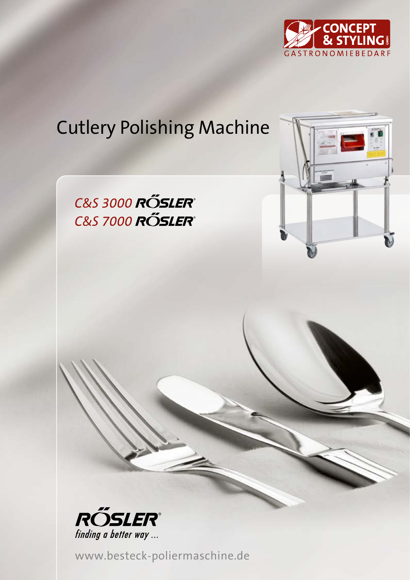

## Cutlery Polishing Machine

**C&S 3000 ROSLER**® **C&S 7000 ROSLER**®



www.besteck-poliermaschine.de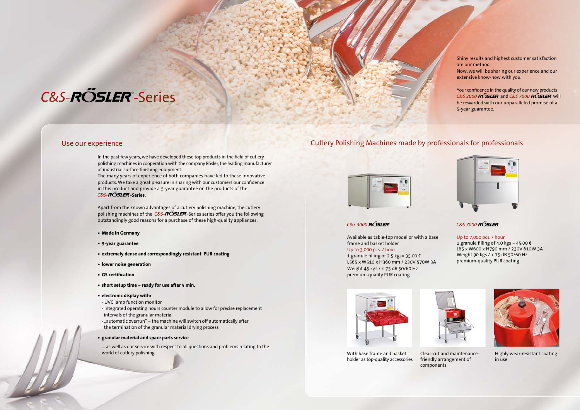The many years of experience of both companies have led to these innovative products. We take a great pleasure in sharing with our customers our confidence in this product and provide a 5-year guarantee on the products of the C&S-**ROSLER**-Series.

# C&S-ROSLER<sup>®</sup>-Series

In the past few years, we have developed these top products in the field of cutlery polishing machines in cooperation with the company Rösler, the leading manufacturer of industrial surface finishing equipment.

Apart from the known advantages of a cutlery polishing machine, the cutlery polishing machines of the  $C&S-R\tilde{O}SLER$ -Series series offer you the following outstandingly good reasons for a purchase of these high-quality appliances:

- **• Made in Germany**
- **• 5-year guarantee**
- **• extremely dense and correspondingly resistant PUR coating**
- **• lower noise generation**
- **• GS certification**
- **• short setup time ready for use after 5 min.**
- **• electronic display with:**
- UVC lamp function monitor
- integrated operating hours counter module to allow for precise replacement intervals of the granular material
- "automatic overrun" the machine will switch off automatically after
- the termination of the granular material drying process

**• granular material and spare parts service**

... as well as our service with respect to all questions and problems relating to the world of cutlery polishing.

### Use our experience Cutlery Polishing Machines made by professionals for professionals



### **C&S 3000 RÖSLER**

Available as table-top model or with a base frame and basket holder Up to 3,000 pcs. / hour

1 granule filling of 2.5 kgs= 35.00 € L565 x W510 x H360 mm / 230V 570W 3A Weight 45 kgs / < 75 dB 50/60 Hz premium-quality PUR coating



#### Up to 7,000 pcs. / hour 1 granule filling of 4.0 kgs =  $45.00 \text{ } \in$ L65 x W600 x H790 mm / 230V 610W 3A Weight 90 kgs / < 75 dB 50/60 Hz premium-quality PUR coating



With base frame and basket holder as top-quality accessories



Clear-cut and maintenancefriendly arrangement of

components



Highly wear-resistant coating in use

Shiny results and highest customer satisfaction are our method.

Now, we will be sharing our experience and our extensive know-how with you.

Your confidence in the quality of our new products C&S 3000 ROSLER and C&S 7000 ROSLER will be rewarded with our unparalleled promise of a 5-year guarantee.



#### **C&S 7000 RŐSLER**